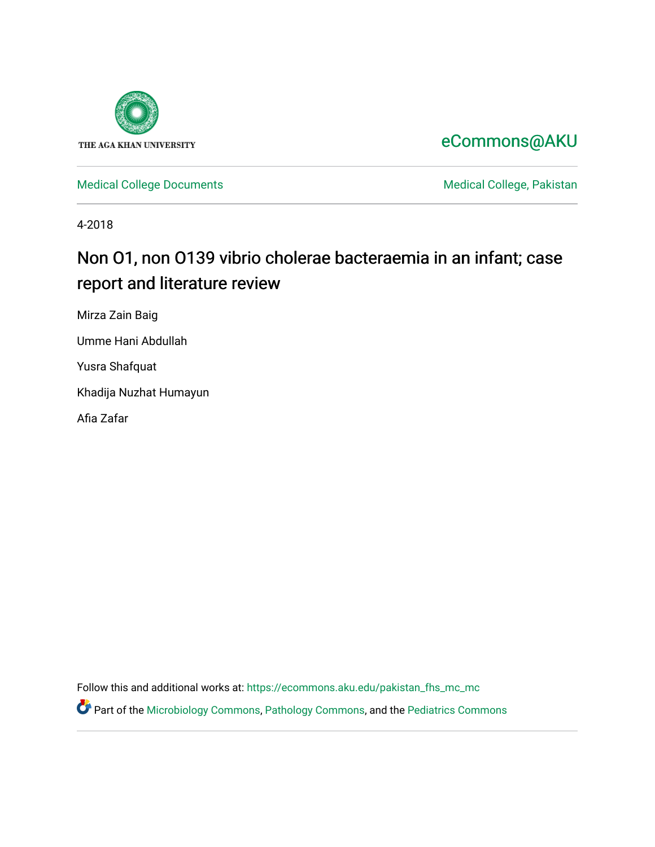

## [eCommons@AKU](https://ecommons.aku.edu/)

[Medical College Documents](https://ecommons.aku.edu/pakistan_fhs_mc_mc) **Medical College, Pakistan** 

4-2018

# Non O1, non O139 vibrio cholerae bacteraemia in an infant; case report and literature review

Mirza Zain Baig

Umme Hani Abdullah

Yusra Shafquat

Khadija Nuzhat Humayun

Afia Zafar

Follow this and additional works at: [https://ecommons.aku.edu/pakistan\\_fhs\\_mc\\_mc](https://ecommons.aku.edu/pakistan_fhs_mc_mc?utm_source=ecommons.aku.edu%2Fpakistan_fhs_mc_mc%2F161&utm_medium=PDF&utm_campaign=PDFCoverPages) 

Part of the [Microbiology Commons](http://network.bepress.com/hgg/discipline/48?utm_source=ecommons.aku.edu%2Fpakistan_fhs_mc_mc%2F161&utm_medium=PDF&utm_campaign=PDFCoverPages), [Pathology Commons](http://network.bepress.com/hgg/discipline/699?utm_source=ecommons.aku.edu%2Fpakistan_fhs_mc_mc%2F161&utm_medium=PDF&utm_campaign=PDFCoverPages), and the [Pediatrics Commons](http://network.bepress.com/hgg/discipline/700?utm_source=ecommons.aku.edu%2Fpakistan_fhs_mc_mc%2F161&utm_medium=PDF&utm_campaign=PDFCoverPages)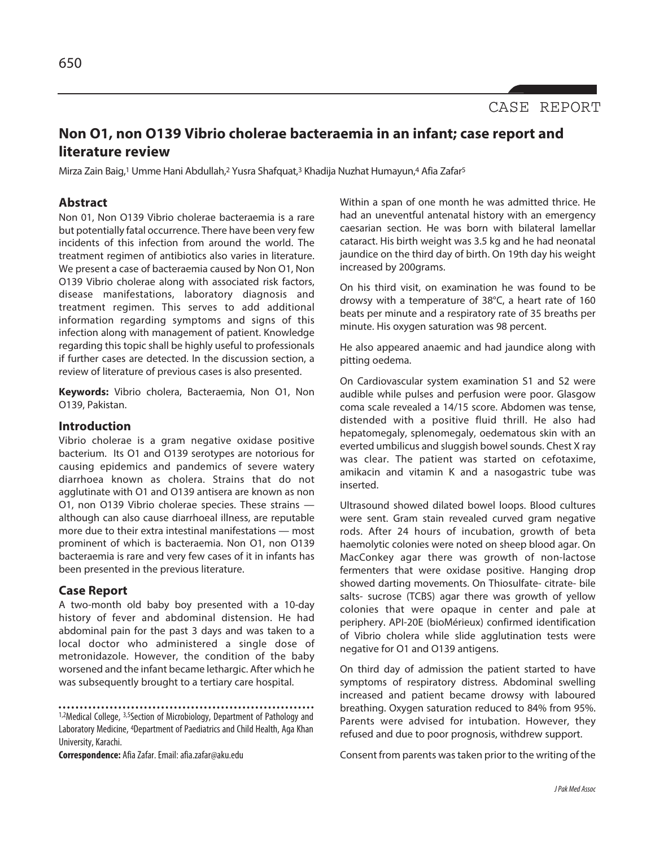

### **Non O1, non O139 Vibrio cholerae bacteraemia in an infant; case report and literature review**

Mirza Zain Baig,<sup>1</sup> Umme Hani Abdullah,<sup>2</sup> Yusra Shafquat,<sup>3</sup> Khadija Nuzhat Humayun,4 Afia Zafar<sup>5</sup>

#### **Abstract**

Non 01, Non O139 Vibrio cholerae bacteraemia is a rare but potentially fatal occurrence. There have been very few incidents of this infection from around the world. The treatment regimen of antibiotics also varies in literature. We present a case of bacteraemia caused by Non O1, Non O139 Vibrio cholerae along with associated risk factors, disease manifestations, laboratory diagnosis and treatment regimen. This serves to add additional information regarding symptoms and signs of this infection along with management of patient. Knowledge regarding this topic shall be highly useful to professionals if further cases are detected. In the discussion section, a review of literature of previous cases is also presented.

**Keywords:** Vibrio cholera, Bacteraemia, Non O1, Non O139, Pakistan.

#### **Introduction**

Vibrio cholerae is a gram negative oxidase positive bacterium. Its O1 and O139 serotypes are notorious for causing epidemics and pandemics of severe watery diarrhoea known as cholera. Strains that do not agglutinate with O1 and O139 antisera are known as non O1, non O139 Vibrio cholerae species. These strains although can also cause diarrhoeal illness, are reputable more due to their extra intestinal manifestations — most prominent of which is bacteraemia. Non O1, non O139 bacteraemia is rare and very few cases of it in infants has been presented in the previous literature.

#### **Case Report**

A two-month old baby boy presented with a 10-day history of fever and abdominal distension. He had abdominal pain for the past 3 days and was taken to a local doctor who administered a single dose of metronidazole. However, the condition of the baby worsened and the infant became lethargic. After which he was subsequently brought to a tertiary care hospital.

**Correspondence:** AfiaZafar.Email:afia.zafar@aku.edu

Within a span of one month he was admitted thrice. He had an uneventful antenatal history with an emergency caesarian section. He was born with bilateral lamellar cataract. His birth weight was 3.5 kg and he had neonatal jaundice on the third day of birth. On 19th day his weight increased by 200grams.

On his third visit, on examination he was found to be drowsy with a temperature of 38°C, a heart rate of 160 beats per minute and a respiratory rate of 35 breaths per minute. His oxygen saturation was 98 percent.

He also appeared anaemic and had jaundice along with pitting oedema.

On Cardiovascular system examination S1 and S2 were audible while pulses and perfusion were poor. Glasgow coma scale revealed a 14/15 score. Abdomen was tense, distended with a positive fluid thrill. He also had hepatomegaly, splenomegaly, oedematous skin with an everted umbilicus and sluggish bowel sounds. Chest X ray was clear. The patient was started on cefotaxime, amikacin and vitamin K and a nasogastric tube was inserted.

Ultrasound showed dilated bowel loops. Blood cultures were sent. Gram stain revealed curved gram negative rods. After 24 hours of incubation, growth of beta haemolytic colonies were noted on sheep blood agar. On MacConkey agar there was growth of non-lactose fermenters that were oxidase positive. Hanging drop showed darting movements. On Thiosulfate- citrate- bile salts- sucrose (TCBS) agar there was growth of yellow colonies that were opaque in center and pale at periphery. API-20E (bioMérieux) confirmed identification of Vibrio cholera while slide agglutination tests were negative for O1 and O139 antigens.

On third day of admission the patient started to have symptoms of respiratory distress. Abdominal swelling increased and patient became drowsy with laboured breathing. Oxygen saturation reduced to 84% from 95%. Parents were advised for intubation. However, they refused and due to poor prognosis, withdrew support.

Consent from parents wastaken prior to the writing of the

<sup>1,2</sup>Medical College, 3,5Section of Microbiology, Department of Pathology and Laboratory Medicine, 4Department of Paediatrics and Child Health, Aga Khan University, Karachi.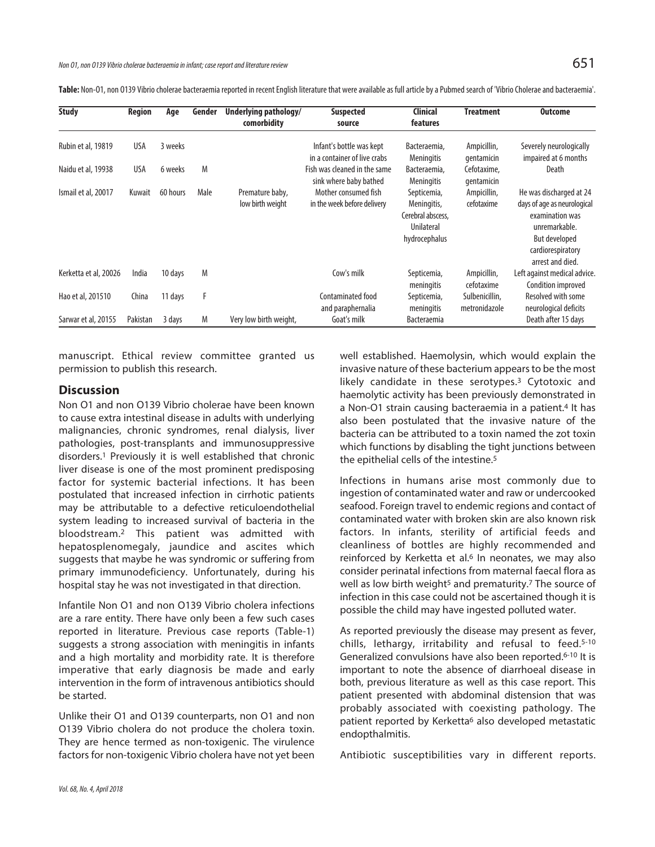Table: Non-O1, non O139 Vibrio cholerae bacteraemia reported in recent English literature that were available as full article by a Pubmed search of 'Vibrio Cholerae and bacteraemia'.

| <b>Study</b>          | Region   | Age      | Gender | Underlying pathology/<br>comorbidity | Suspected<br>source                                      | <b>Clinical</b><br>features                                                    | <b>Treatment</b>                | <b>Outcome</b>                                                                                                                                       |
|-----------------------|----------|----------|--------|--------------------------------------|----------------------------------------------------------|--------------------------------------------------------------------------------|---------------------------------|------------------------------------------------------------------------------------------------------------------------------------------------------|
| Rubin et al, 19819    | USA      | 3 weeks  |        |                                      | Infant's bottle was kept<br>in a container of live crabs | Bacteraemia,<br><b>Meningitis</b>                                              | Ampicillin,<br>qentamicin       | Severely neurologically<br>impaired at 6 months                                                                                                      |
| Naidu et al, 19938    | USA      | 6 weeks  | M      |                                      | Fish was cleaned in the same<br>sink where baby bathed   | Bacteraemia,<br><b>Meningitis</b>                                              | Cefotaxime,<br>qentamicin       | Death                                                                                                                                                |
| Ismail et al, 20017   | Kuwait   | 60 hours | Male   | Premature baby,<br>low birth weight  | Mother consumed fish<br>in the week before delivery      | Septicemia,<br>Meningitis,<br>Cerebral abscess,<br>Unilateral<br>hydrocephalus | Ampicillin,<br>cefotaxime       | He was discharged at 24<br>days of age as neurological<br>examination was<br>unremarkable.<br>But developed<br>cardiorespiratory<br>arrest and died. |
| Kerketta et al, 20026 | India    | 10 days  | M      |                                      | Cow's milk                                               | Septicemia,<br>meningitis                                                      | Ampicillin,<br>cefotaxime       | Left against medical advice.<br>Condition improved                                                                                                   |
| Hao et al, 201510     | China    | 11 days  | F      |                                      | Contaminated food<br>and paraphernalia                   | Septicemia,<br>meningitis                                                      | Sulbenicillin,<br>metronidazole | Resolved with some<br>neurological deficits                                                                                                          |
| Sarwar et al, 20155   | Pakistan | 3 days   | M      | Very low birth weight,               | Goat's milk                                              | <b>Bacteraemia</b>                                                             |                                 | Death after 15 days                                                                                                                                  |

manuscript. Ethical review committee granted us permission to publish this research.

#### **Discussion**

Non O1 and non O139 Vibrio cholerae have been known to cause extra intestinal disease in adults with underlying malignancies, chronic syndromes, renal dialysis, liver pathologies, post-transplants and immunosuppressive disorders. <sup>1</sup> Previously it is well established that chronic liver disease is one of the most prominent predisposing factor for systemic bacterial infections. It has been postulated that increased infection in cirrhotic patients may be attributable to a defective reticuloendothelial system leading to increased survival of bacteria in the bloodstream. <sup>2</sup> This patient was admitted with hepatosplenomegaly, jaundice and ascites which suggests that maybe he was syndromic or suffering from primary immunodeficiency. Unfortunately, during his hospital stay he was not investigated in that direction.

Infantile Non O1 and non O139 Vibrio cholera infections are a rare entity. There have only been a few such cases reported in literature. Previous case reports (Table-1) suggests a strong association with meningitis in infants and a high mortality and morbidity rate. It is therefore imperative that early diagnosis be made and early intervention in the form of intravenous antibiotics should be started.

Unlike their O1 and O139 counterparts, non O1 and non O139 Vibrio cholera do not produce the cholera toxin. They are hence termed as non-toxigenic. The virulence factors for non-toxigenic Vibrio cholera have not yet been well established. Haemolysin, which would explain the invasive nature of these bacterium appears to be the most likely candidate in these serotypes. <sup>3</sup> Cytotoxic and haemolytic activity has been previously demonstrated in a Non-O1 strain causing bacteraemia in a patient. <sup>4</sup> It has also been postulated that the invasive nature of the bacteria can be attributed to a toxin named the zot toxin which functions by disabling the tight junctions between the epithelial cells of the intestine. 5

Infections in humans arise most commonly due to ingestion of contaminated water and raw or undercooked seafood. Foreign travel to endemic regions and contact of contaminated water with broken skin are also known risk factors. In infants, sterility of artificial feeds and cleanliness of bottles are highly recommended and reinforced by Kerketta et al.<sup>6</sup> In neonates, we may also consider perinatal infections from maternal faecal flora as well as low birth weight<sup>5</sup> and prematurity.<sup>7</sup> The source of infection in this case could not be ascertained though it is possible the child may have ingested polluted water.

As reported previously the disease may present as fever, chills, lethargy, irritability and refusal to feed. 5-10 Generalized convulsions have also been reported.<sup>6-10</sup> It is important to note the absence of diarrhoeal disease in both, previous literature as well as this case report. This patient presented with abdominal distension that was probably associated with coexisting pathology. The patient reported by Kerketta<sup>6</sup> also developed metastatic endopthalmitis.

Antibiotic susceptibilities vary in different reports.